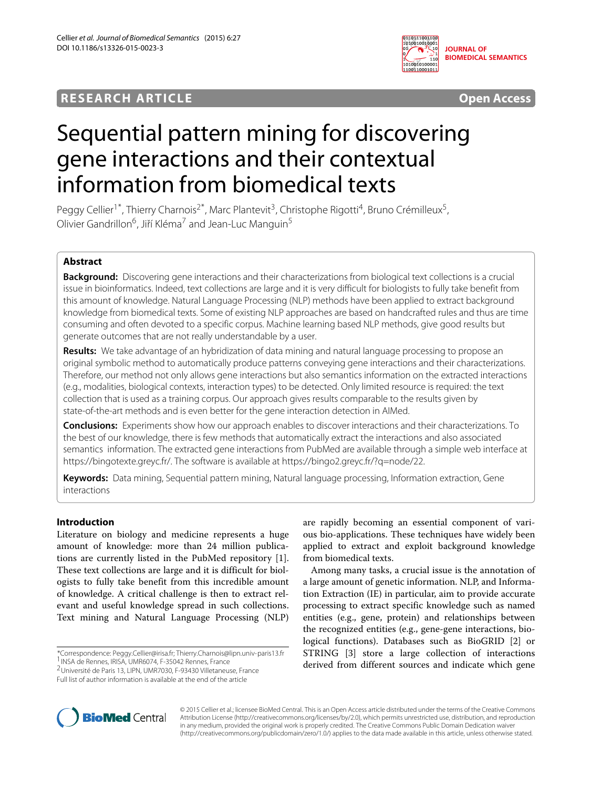# **RESEARCH ARTICLE Open Access**



# Sequential pattern mining for discovering gene interactions and their contextual information from biomedical texts

Peggy Cellier<sup>1\*</sup>, Thierry Charnois<sup>2\*</sup>, Marc Plantevit<sup>3</sup>, Christophe Rigotti<sup>4</sup>, Bruno Crémilleux<sup>5</sup>, Olivier Gandrillon<sup>6</sup>, Jiří Kléma<sup>7</sup> and Jean-Luc Manguin<sup>5</sup>

# **Abstract**

**Background:** Discovering gene interactions and their characterizations from biological text collections is a crucial issue in bioinformatics. Indeed, text collections are large and it is very difficult for biologists to fully take benefit from this amount of knowledge. Natural Language Processing (NLP) methods have been applied to extract background knowledge from biomedical texts. Some of existing NLP approaches are based on handcrafted rules and thus are time consuming and often devoted to a specific corpus. Machine learning based NLP methods, give good results but generate outcomes that are not really understandable by a user.

**Results:** We take advantage of an hybridization of data mining and natural language processing to propose an original symbolic method to automatically produce patterns conveying gene interactions and their characterizations. Therefore, our method not only allows gene interactions but also semantics information on the extracted interactions (e.g., modalities, biological contexts, interaction types) to be detected. Only limited resource is required: the text collection that is used as a training corpus. Our approach gives results comparable to the results given by state-of-the-art methods and is even better for the gene interaction detection in AIMed.

**Conclusions:** Experiments show how our approach enables to discover interactions and their characterizations. To the best of our knowledge, there is few methods that automatically extract the interactions and also associated semantics information. The extracted gene interactions from PubMed are available through a simple web interface at [https://bingotexte.greyc.fr/.](https://bingotexte.greyc.fr/) The software is available at [https://bingo2.greyc.fr/?q=node/22.](https://bingo2.greyc.fr/?q=node/22)

**Keywords:** Data mining, Sequential pattern mining, Natural language processing, Information extraction, Gene interactions

# **Introduction**

Literature on biology and medicine represents a huge amount of knowledge: more than 24 million publications are currently listed in the PubMed repository [\[1\]](#page-10-0). These text collections are large and it is difficult for biologists to fully take benefit from this incredible amount of knowledge. A critical challenge is then to extract relevant and useful knowledge spread in such collections. Text mining and Natural Language Processing (NLP)

\*Correspondence: [Peggy.Cellier@irisa.fr;](mailto: Peggy.Cellier@irisa.fr) [Thierry.Charnois@lipn.univ-paris13.fr](mailto: Thierry.Charnois@lipn.univ-paris13.fr) 1INSA de Rennes, IRISA, UMR6074, F-35042 Rennes, France

2Université de Paris 13, LIPN, UMR7030, F-93430 Villetaneuse, France Full list of author information is available at the end of the article

are rapidly becoming an essential component of various bio-applications. These techniques have widely been applied to extract and exploit background knowledge from biomedical texts.

Among many tasks, a crucial issue is the annotation of a large amount of genetic information. NLP, and Information Extraction (IE) in particular, aim to provide accurate processing to extract specific knowledge such as named entities (e.g., gene, protein) and relationships between the recognized entities (e.g., gene-gene interactions, biological functions). Databases such as BioGRID [\[2\]](#page-10-1) or STRING [\[3\]](#page-10-2) store a large collection of interactions derived from different sources and indicate which gene



© 2015 Cellier et al.; licensee BioMed Central. This is an Open Access article distributed under the terms of the Creative Commons Attribution License [\(http://creativecommons.org/licenses/by/2.0\)](http://creativecommons.org/licenses/by/2.0), which permits unrestricted use, distribution, and reproduction in any medium, provided the original work is properly credited. The Creative Commons Public Domain Dedication waiver [\(http://creativecommons.org/publicdomain/zero/1.0/\)](http://creativecommons.org/publicdomain/zero/1.0/) applies to the data made available in this article, unless otherwise stated.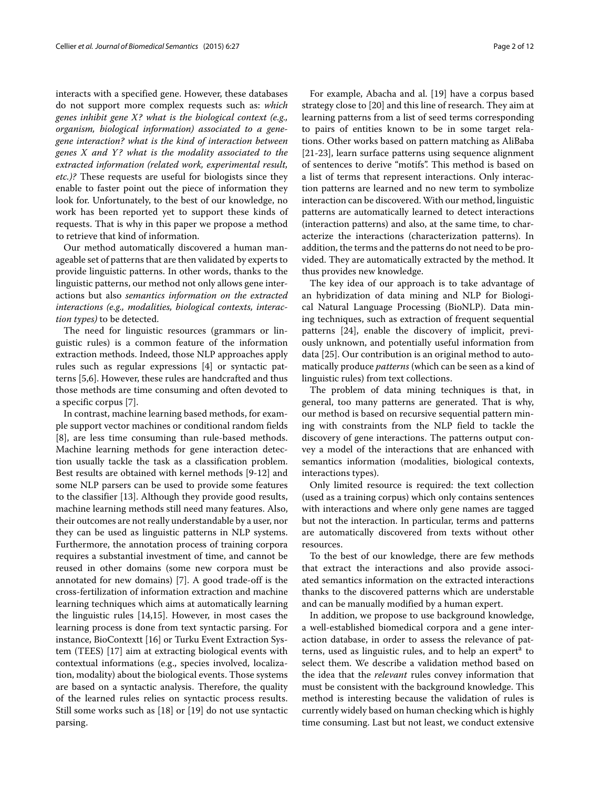interacts with a specified gene. However, these databases do not support more complex requests such as: *which genes inhibit gene X? what is the biological context (e.g., organism, biological information) associated to a genegene interaction? what is the kind of interaction between genes X and Y ? what is the modality associated to the extracted information (related work, experimental result, etc.)?* These requests are useful for biologists since they enable to faster point out the piece of information they look for. Unfortunately, to the best of our knowledge, no work has been reported yet to support these kinds of requests. That is why in this paper we propose a method to retrieve that kind of information.

Our method automatically discovered a human manageable set of patterns that are then validated by experts to provide linguistic patterns. In other words, thanks to the linguistic patterns, our method not only allows gene interactions but also *semantics information on the extracted interactions (e.g., modalities, biological contexts, interaction types)* to be detected.

The need for linguistic resources (grammars or linguistic rules) is a common feature of the information extraction methods. Indeed, those NLP approaches apply rules such as regular expressions [\[4\]](#page-10-3) or syntactic patterns [\[5](#page-10-4)[,6\]](#page-10-5). However, these rules are handcrafted and thus those methods are time consuming and often devoted to a specific corpus [\[7\]](#page-10-6).

In contrast, machine learning based methods, for example support vector machines or conditional random fields [\[8\]](#page-10-7), are less time consuming than rule-based methods. Machine learning methods for gene interaction detection usually tackle the task as a classification problem. Best results are obtained with kernel methods [\[9-](#page-10-8)[12\]](#page-11-0) and some NLP parsers can be used to provide some features to the classifier [\[13\]](#page-11-1). Although they provide good results, machine learning methods still need many features. Also, their outcomes are not really understandable by a user, nor they can be used as linguistic patterns in NLP systems. Furthermore, the annotation process of training corpora requires a substantial investment of time, and cannot be reused in other domains (some new corpora must be annotated for new domains) [\[7\]](#page-10-6). A good trade-off is the cross-fertilization of information extraction and machine learning techniques which aims at automatically learning the linguistic rules [\[14,](#page-11-2)[15\]](#page-11-3). However, in most cases the learning process is done from text syntactic parsing. For instance, BioContextt [\[16\]](#page-11-4) or Turku Event Extraction System (TEES) [\[17\]](#page-11-5) aim at extracting biological events with contextual informations (e.g., species involved, localization, modality) about the biological events. Those systems are based on a syntactic analysis. Therefore, the quality of the learned rules relies on syntactic process results. Still some works such as [\[18\]](#page-11-6) or [\[19\]](#page-11-7) do not use syntactic parsing.

For example, Abacha and al. [\[19\]](#page-11-7) have a corpus based strategy close to [\[20\]](#page-11-8) and this line of research. They aim at learning patterns from a list of seed terms corresponding to pairs of entities known to be in some target relations. Other works based on pattern matching as AliBaba [\[21-](#page-11-9)[23\]](#page-11-10), learn surface patterns using sequence alignment of sentences to derive "motifs". This method is based on a list of terms that represent interactions. Only interaction patterns are learned and no new term to symbolize interaction can be discovered. With our method, linguistic patterns are automatically learned to detect interactions (interaction patterns) and also, at the same time, to characterize the interactions (characterization patterns). In addition, the terms and the patterns do not need to be provided. They are automatically extracted by the method. It thus provides new knowledge.

The key idea of our approach is to take advantage of an hybridization of data mining and NLP for Biological Natural Language Processing (BioNLP). Data mining techniques, such as extraction of frequent sequential patterns [\[24\]](#page-11-11), enable the discovery of implicit, previously unknown, and potentially useful information from data [\[25\]](#page-11-12). Our contribution is an original method to automatically produce *patterns* (which can be seen as a kind of linguistic rules) from text collections.

The problem of data mining techniques is that, in general, too many patterns are generated. That is why, our method is based on recursive sequential pattern mining with constraints from the NLP field to tackle the discovery of gene interactions. The patterns output convey a model of the interactions that are enhanced with semantics information (modalities, biological contexts, interactions types).

Only limited resource is required: the text collection (used as a training corpus) which only contains sentences with interactions and where only gene names are tagged but not the interaction. In particular, terms and patterns are automatically discovered from texts without other resources.

To the best of our knowledge, there are few methods that extract the interactions and also provide associated semantics information on the extracted interactions thanks to the discovered patterns which are understable and can be manually modified by a human expert.

In addition, we propose to use background knowledge, a well-established biomedical corpora and a gene interaction database, in order to assess the relevance of patterns, used as linguistic rules, and to help an expert<sup>a</sup> to select them. We describe a validation method based on the idea that the *relevant* rules convey information that must be consistent with the background knowledge. This method is interesting because the validation of rules is currently widely based on human checking which is highly time consuming. Last but not least, we conduct extensive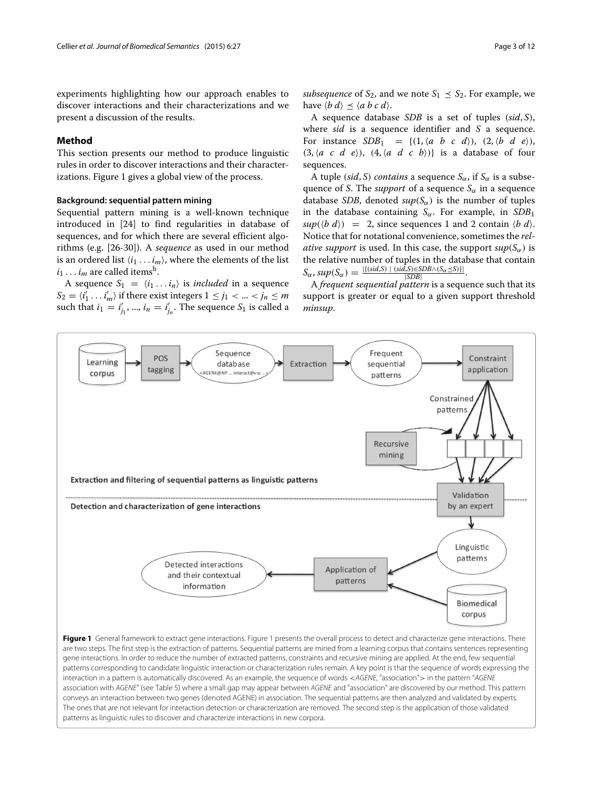experiments highlighting how our approach enables to discover interactions and their characterizations and we present a discussion of the results.

# <span id="page-2-1"></span>**Method**

This section presents our method to produce linguistic rules in order to discover interactions and their characterizations. Figure [1](#page-2-0) gives a global view of the process.

# **Background: sequential pattern mining**

Sequential pattern mining is a well-known technique introduced in [\[24\]](#page-11-11) to find regularities in database of sequences, and for which there are several efficient algorithms (e.g. [\[26-](#page-11-13)[30\]](#page-11-14)). A *sequence* as used in our method is an ordered list  $\langle i_1 \dots i_m \rangle$ , where the elements of the list  $i_1 \ldots i_m$  are called items<sup>b</sup>.

A sequence  $S_1 = \langle i_1 \dots i_n \rangle$  is *included* in a sequence  $S_2 = \langle i'_1 \dots i'_m \rangle$  if there exist integers  $1 \le j_1 < ... < j_n \le m$ such that  $i_1 = i'_{j_1}, ..., i_n = i'_{j_n}.$  The sequence  $S_1$  is called a *subsequence* of  $S_2$ , and we note  $S_1 \leq S_2$ . For example, we have  $\langle b \, d \rangle \preceq \langle a \, b \, c \, d \rangle$ .

A sequence database *SDB* is a set of tuples (*sid*, *S*), where *sid* is a sequence identifier and *S* a sequence. For instance  $SDB_1 = \{(1, \langle a \ b \ c \ d \rangle), (2, \langle b \ d \ e \rangle),\}$  $(3, \langle a \ c \ d \ e \rangle), \ (4, \langle a \ d \ c \ b \rangle) \}$  is a database of four sequences.

A tuple (*sid*, *S*) *contains* a sequence  $S_\alpha$ , if  $S_\alpha$  is a subsequence of *S*. The *support* of a sequence  $S_\alpha$  in a sequence database *SDB*, denoted  $sup(S_{\alpha})$  is the number of tuples in the database containing  $S_{\alpha}$ . For example, in *SDB*<sub>1</sub>  $sup(\langle b \, d \rangle) = 2$ , since sequences 1 and 2 contain  $\langle b \, d \rangle$ . Notice that for notational convenience, sometimes the *relative support* is used. In this case, the support  $sup(S_{\alpha})$  is the relative number of tuples in the database that contain  $S_{\alpha}$ ,  $sup(S_{\alpha}) = \frac{|\{(sid, S) \mid (sid, S) \in SDB \wedge (S_{\alpha} \leq S) \}|}{|SDB|}.$ 

A *frequent sequential pattern* is a sequence such that its support is greater or equal to a given support threshold *minsup*.



<span id="page-2-0"></span>patterns as linguistic rules to discover and characterize interactions in new corpora.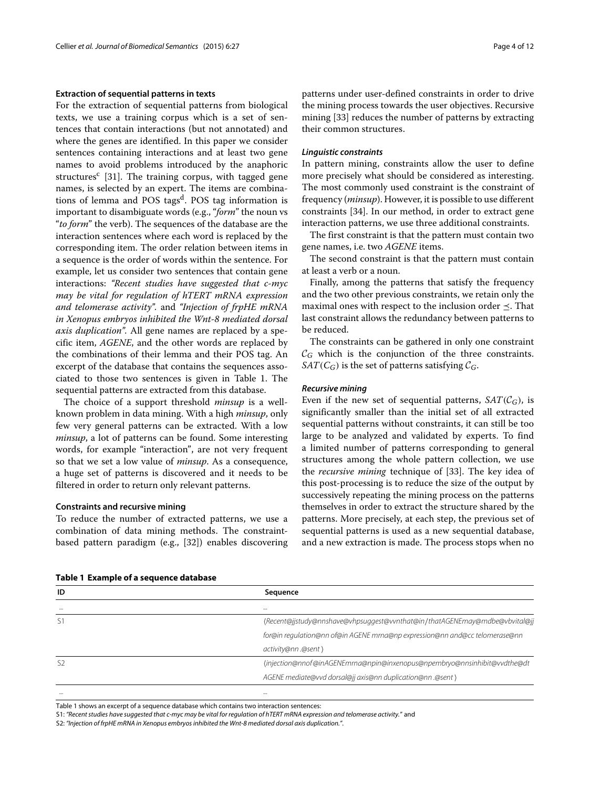#### **Extraction of sequential patterns in texts**

For the extraction of sequential patterns from biological texts, we use a training corpus which is a set of sentences that contain interactions (but not annotated) and where the genes are identified. In this paper we consider sentences containing interactions and at least two gene names to avoid problems introduced by the anaphoric structures<sup>c</sup> [\[31\]](#page-11-15). The training corpus, with tagged gene names, is selected by an expert. The items are combinations of lemma and POS tags<sup>d</sup>. POS tag information is important to disambiguate words (e.g., "*form*" the noun vs "*to form*" the verb). The sequences of the database are the interaction sentences where each word is replaced by the corresponding item. The order relation between items in a sequence is the order of words within the sentence. For example, let us consider two sentences that contain gene interactions: *"Recent studies have suggested that c-myc may be vital for regulation of hTERT mRNA expression and telomerase activity".* and *"Injection of frpHE mRNA in Xenopus embryos inhibited the Wnt-8 mediated dorsal axis duplication".* All gene names are replaced by a specific item, *AGENE*, and the other words are replaced by the combinations of their lemma and their POS tag. An excerpt of the database that contains the sequences associated to those two sentences is given in Table [1.](#page-3-0) The sequential patterns are extracted from this database.

The choice of a support threshold *minsup* is a wellknown problem in data mining. With a high *minsup*, only few very general patterns can be extracted. With a low *minsup*, a lot of patterns can be found. Some interesting words, for example "interaction", are not very frequent so that we set a low value of *minsup*. As a consequence, a huge set of patterns is discovered and it needs to be filtered in order to return only relevant patterns.

## **Constraints and recursive mining**

To reduce the number of extracted patterns, we use a combination of data mining methods. The constraintbased pattern paradigm (e.g., [\[32\]](#page-11-16)) enables discovering patterns under user-defined constraints in order to drive the mining process towards the user objectives. Recursive mining [\[33\]](#page-11-17) reduces the number of patterns by extracting their common structures.

#### *Linguistic constraints*

In pattern mining, constraints allow the user to define more precisely what should be considered as interesting. The most commonly used constraint is the constraint of frequency (*minsup*). However, it is possible to use different constraints [\[34\]](#page-11-18). In our method, in order to extract gene interaction patterns, we use three additional constraints.

The first constraint is that the pattern must contain two gene names, i.e. two *AGENE* items.

The second constraint is that the pattern must contain at least a verb or a noun.

Finally, among the patterns that satisfy the frequency and the two other previous constraints, we retain only the maximal ones with respect to the inclusion order  $\preceq$ . That last constraint allows the redundancy between patterns to be reduced.

The constraints can be gathered in only one constraint  $\mathcal{C}_G$  which is the conjunction of the three constraints. *SAT*( $C_G$ ) is the set of patterns satisfying  $C_G$ .

#### *Recursive mining*

Even if the new set of sequential patterns,  $SAT(\mathcal{C}_G)$ , is significantly smaller than the initial set of all extracted sequential patterns without constraints, it can still be too large to be analyzed and validated by experts. To find a limited number of patterns corresponding to general structures among the whole pattern collection, we use the *recursive mining* technique of [\[33\]](#page-11-17). The key idea of this post-processing is to reduce the size of the output by successively repeating the mining process on the patterns themselves in order to extract the structure shared by the patterns. More precisely, at each step, the previous set of sequential patterns is used as a new sequential database, and a new extraction is made. The process stops when no

|  | Table 1 Example of a sequence database |
|--|----------------------------------------|
|--|----------------------------------------|

<span id="page-3-0"></span>

| ID             | Sequence                                                                    |
|----------------|-----------------------------------------------------------------------------|
| $\cdots$       | $\cdots$                                                                    |
| S1             | (Recent@jjstudy@nnshave@vhpsuqqest@vvnthat@in/thatAGENEmay@mdbe@vbvital@jj  |
|                | for@in requlation@nn of@in AGENE mrna@np expression@nn and@cc telomerase@nn |
|                | activity@nn .@sent \                                                        |
| S <sub>2</sub> | (injection@nnof@inAGENEmrna@npin@inxenopus@npembryo@nnsinhibit@vvdthe@dt    |
|                | AGENE mediate@vvd dorsal@jj axis@nn duplication@nn .@sent \                 |
| $\cdots$       |                                                                             |

Table [1](#page-3-0) shows an excerpt of a sequence database which contains two interaction sentences:

S1: *"Recent studies have suggested that c-myc may be vital for regulation of hTERT mRNA expression and telomerase activity."* and

S2: *"Injection of frpHE mRNA in Xenopus embryos inhibited the Wnt-8 mediated dorsal axis duplication."*.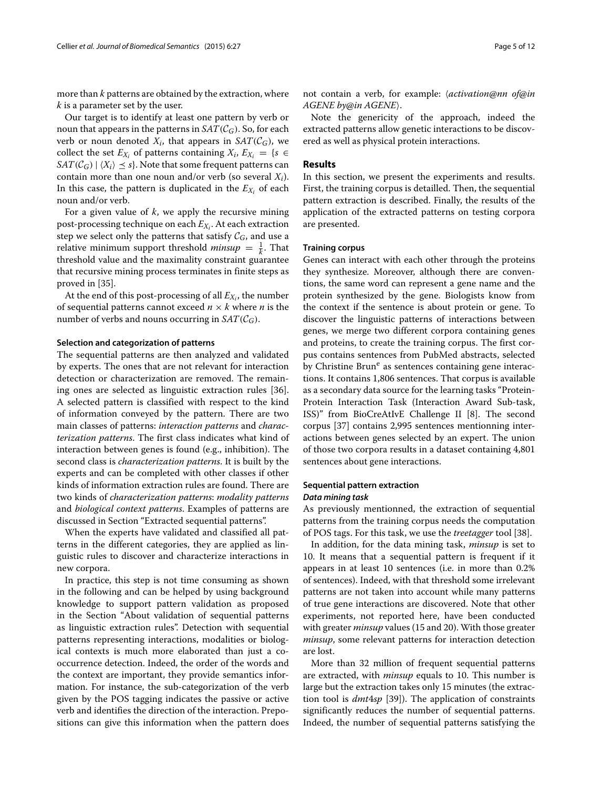more than *k* patterns are obtained by the extraction, where *k* is a parameter set by the user.

Our target is to identify at least one pattern by verb or noun that appears in the patterns in  $SAT(\mathcal{C}_G)$ . So, for each verb or noun denoted  $X_i$ , that appears in  $SAT(\mathcal{C}_G)$ , we collect the set  $E_{X_i}$  of patterns containing  $X_i$ ,  $E_{X_i} = \{s \in I\}$  $SAT(\mathcal{C}_G) | \langle X_i \rangle \leq s$ . Note that some frequent patterns can contain more than one noun and/or verb (so several *Xi*). In this case, the pattern is duplicated in the  $E_{X_i}$  of each noun and/or verb.

For a given value of *k*, we apply the recursive mining post-processing technique on each  $E_X$ . At each extraction step we select only the patterns that satisfy  $\mathcal{C}_G$ , and use a relative minimum support threshold *minsup*  $=$   $\frac{1}{k}$ . That threshold value and the maximality constraint guarantee that recursive mining process terminates in finite steps as proved in [\[35\]](#page-11-19).

At the end of this post-processing of all  $E_{X_i}$ , the number of sequential patterns cannot exceed  $n \times k$  where *n* is the number of verbs and nouns occurring in  $SAT(\mathcal{C}_G)$ .

#### **Selection and categorization of patterns**

The sequential patterns are then analyzed and validated by experts. The ones that are not relevant for interaction detection or characterization are removed. The remaining ones are selected as linguistic extraction rules [\[36\]](#page-11-20). A selected pattern is classified with respect to the kind of information conveyed by the pattern. There are two main classes of patterns: *interaction patterns* and *characterization patterns*. The first class indicates what kind of interaction between genes is found (e.g., inhibition). The second class is *characterization patterns*. It is built by the experts and can be completed with other classes if other kinds of information extraction rules are found. There are two kinds of *characterization patterns*: *modality patterns* and *biological context patterns*. Examples of patterns are discussed in Section ["Extracted sequential patterns"](#page-5-0).

When the experts have validated and classified all patterns in the different categories, they are applied as linguistic rules to discover and characterize interactions in new corpora.

In practice, this step is not time consuming as shown in the following and can be helped by using background knowledge to support pattern validation as proposed in the Section "About validation of sequential patterns as linguistic extraction rules". Detection with sequential patterns representing interactions, modalities or biological contexts is much more elaborated than just a cooccurrence detection. Indeed, the order of the words and the context are important, they provide semantics information. For instance, the sub-categorization of the verb given by the POS tagging indicates the passive or active verb and identifies the direction of the interaction. Prepositions can give this information when the pattern does

not contain a verb, for example: *{activation@nn of@in AGENE by@in AGENE*.

Note the genericity of the approach, indeed the extracted patterns allow genetic interactions to be discovered as well as physical protein interactions.

#### **Results**

In this section, we present the experiments and results. First, the training corpus is detailled. Then, the sequential pattern extraction is described. Finally, the results of the application of the extracted patterns on testing corpora are presented.

#### **Training corpus**

Genes can interact with each other through the proteins they synthesize. Moreover, although there are conventions, the same word can represent a gene name and the protein synthesized by the gene. Biologists know from the context if the sentence is about protein or gene. To discover the linguistic patterns of interactions between genes, we merge two different corpora containing genes and proteins, to create the training corpus. The first corpus contains sentences from PubMed abstracts, selected by Christine Brun<sup>e</sup> as sentences containing gene interactions. It contains 1,806 sentences. That corpus is available as a secondary data source for the learning tasks "Protein-Protein Interaction Task (Interaction Award Sub-task, ISS)" from BioCreAtIvE Challenge II [\[8\]](#page-10-7). The second corpus [\[37\]](#page-11-21) contains 2,995 sentences mentionning interactions between genes selected by an expert. The union of those two corpora results in a dataset containing 4,801 sentences about gene interactions.

#### **Sequential pattern extraction**

#### *Data mining task*

As previously mentionned, the extraction of sequential patterns from the training corpus needs the computation of POS tags. For this task, we use the *treetagger* tool [\[38\]](#page-11-22).

In addition, for the data mining task, *minsup* is set to 10. It means that a sequential pattern is frequent if it appears in at least 10 sentences (i.e. in more than 0.2% of sentences). Indeed, with that threshold some irrelevant patterns are not taken into account while many patterns of true gene interactions are discovered. Note that other experiments, not reported here, have been conducted with greater *minsup* values (15 and 20). With those greater *minsup*, some relevant patterns for interaction detection are lost.

More than 32 million of frequent sequential patterns are extracted, with *minsup* equals to 10. This number is large but the extraction takes only 15 minutes (the extraction tool is *dmt*4*sp* [\[39\]](#page-11-23)). The application of constraints significantly reduces the number of sequential patterns. Indeed, the number of sequential patterns satisfying the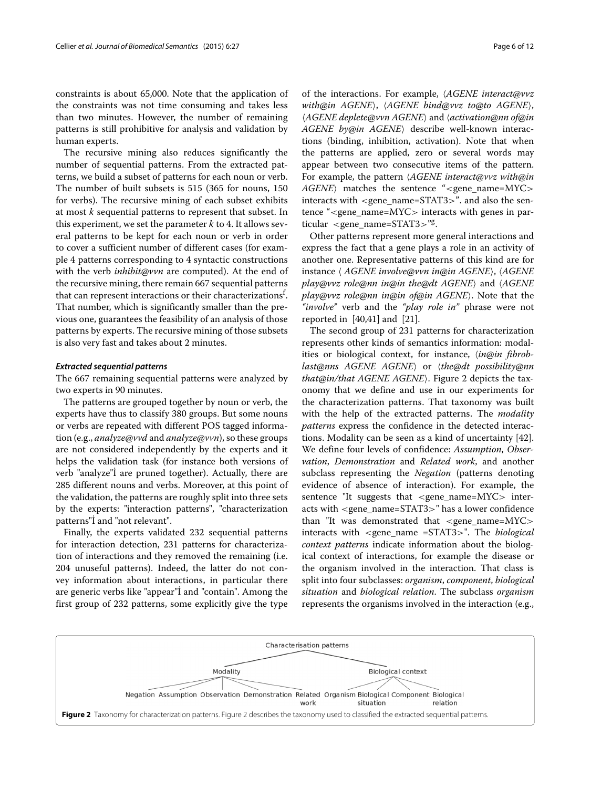constraints is about 65,000. Note that the application of the constraints was not time consuming and takes less than two minutes. However, the number of remaining patterns is still prohibitive for analysis and validation by human experts.

The recursive mining also reduces significantly the number of sequential patterns. From the extracted patterns, we build a subset of patterns for each noun or verb. The number of built subsets is 515 (365 for nouns, 150 for verbs). The recursive mining of each subset exhibits at most *k* sequential patterns to represent that subset. In this experiment, we set the parameter  $k$  to 4. It allows several patterns to be kept for each noun or verb in order to cover a sufficient number of different cases (for example 4 patterns corresponding to 4 syntactic constructions with the verb *inhibit@vvn* are computed). At the end of the recursive mining, there remain 667 sequential patterns that can represent interactions or their characterizations $^{\rm f.}$ That number, which is significantly smaller than the previous one, guarantees the feasibility of an analysis of those patterns by experts. The recursive mining of those subsets is also very fast and takes about 2 minutes.

#### <span id="page-5-0"></span>*Extracted sequential patterns*

The 667 remaining sequential patterns were analyzed by two experts in 90 minutes.

The patterns are grouped together by noun or verb, the experts have thus to classify 380 groups. But some nouns or verbs are repeated with different POS tagged information (e.g., *analyze@vvd* and *analyze@vvn*), so these groups are not considered independently by the experts and it helps the validation task (for instance both versions of verb "analyze"<sup>I</sup> are pruned together). Actually, there are 285 different nouns and verbs. Moreover, at this point of the validation, the patterns are roughly split into three sets by the experts: "interaction patterns", "characterization patterns"I and "not relevant".

Finally, the experts validated 232 sequential patterns for interaction detection, 231 patterns for characterization of interactions and they removed the remaining (i.e. 204 unuseful patterns). Indeed, the latter do not convey information about interactions, in particular there are generic verbs like "appear"I and "contain". Among the first group of 232 patterns, some explicitly give the type

of the interactions. For example,  $\langle AGENE \; interact@v vz \rangle$ *with@in AGENE*, -*AGENE bind@vvz to@to AGENE*, -*AGENE deplete@vvn AGENE* and -*activation@nn of@in AGENE by@in AGENE*) describe well-known interactions (binding, inhibition, activation). Note that when the patterns are applied, zero or several words may appear between two consecutive items of the pattern. For example, the pattern -*AGENE interact@vvz with@in* AGENE) matches the sentence "<gene\_name=MYC> interacts with <gene\_name=STAT3>". and also the sentence "<gene\_name=MYC> interacts with genes in particular <gene name=STAT3>"g.

Other patterns represent more general interactions and express the fact that a gene plays a role in an activity of another one. Representative patterns of this kind are for instance - *AGENE involve@vvn in@in AGENE*, -*AGENE play@vvz role@nn in@in the@dt AGENE* and -*AGENE play@vvz role@nn in@in of@in AGENE*. Note that the *"involve"* verb and the *"play role in"* phrase were not reported in [\[40,](#page-11-24)[41\]](#page-11-25) and [\[21\]](#page-11-9).

The second group of 231 patterns for characterization represents other kinds of semantics information: modalities or biological context, for instance, *\in@in fibroblast@nns AGENE AGENE* or -*the@dt possibility@nn* that@in/that AGENE AGENE). Figure [2](#page-5-1) depicts the taxonomy that we define and use in our experiments for the characterization patterns. That taxonomy was built with the help of the extracted patterns. The *modality patterns* express the confidence in the detected interactions. Modality can be seen as a kind of uncertainty [\[42\]](#page-11-26). We define four levels of confidence: *Assumption*, *Observation*, *Demonstration* and *Related work*, and another subclass representing the *Negation* (patterns denoting evidence of absence of interaction). For example, the sentence "It suggests that <gene\_name=MYC> interacts with <gene\_name=STAT3>" has a lower confidence than "It was demonstrated that <gene\_name=MYC> interacts with <gene\_name =STAT3>". The *biological context patterns* indicate information about the biological context of interactions, for example the disease or the organism involved in the interaction. That class is split into four subclasses: *organism*, *component*, *biological situation* and *biological relation*. The subclass *organism* represents the organisms involved in the interaction (e.g.,

<span id="page-5-1"></span>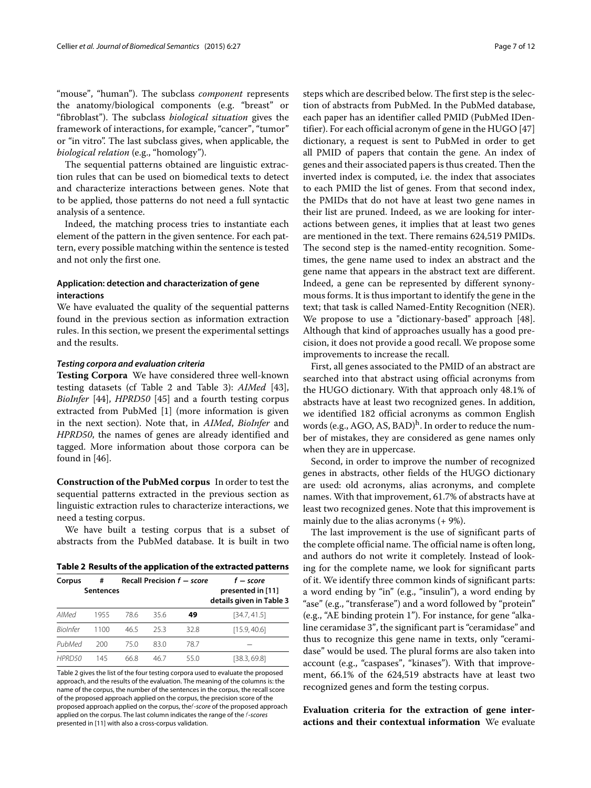"mouse", "human"). The subclass *component* represents the anatomy/biological components (e.g. "breast" or "fibroblast"). The subclass *biological situation* gives the framework of interactions, for example, "cancer", "tumor" or "in vitro". The last subclass gives, when applicable, the *biological relation* (e.g., "homology").

The sequential patterns obtained are linguistic extraction rules that can be used on biomedical texts to detect and characterize interactions between genes. Note that to be applied, those patterns do not need a full syntactic analysis of a sentence.

Indeed, the matching process tries to instantiate each element of the pattern in the given sentence. For each pattern, every possible matching within the sentence is tested and not only the first one.

# **Application: detection and characterization of gene interactions**

We have evaluated the quality of the sequential patterns found in the previous section as information extraction rules. In this section, we present the experimental settings and the results.

#### *Testing corpora and evaluation criteria*

**Testing Corpora** We have considered three well-known testing datasets (cf Table [2](#page-6-0) and Table [3\)](#page-7-0): *AIMed* [\[43\]](#page-11-27), *BioInfer* [\[44\]](#page-11-28), *HPRD50* [\[45\]](#page-11-29) and a fourth testing corpus extracted from PubMed [\[1\]](#page-10-0) (more information is given in the next section). Note that, in *AIMed*, *BioInfer* and *HPRD50*, the names of genes are already identified and tagged. More information about those corpora can be found in [\[46\]](#page-11-30).

**Construction of the PubMed corpus** In order to test the sequential patterns extracted in the previous section as linguistic extraction rules to characterize interactions, we need a testing corpus.

We have built a testing corpus that is a subset of abstracts from the PubMed database. It is built in two

<span id="page-6-0"></span>

| Table 2 Results of the application of the extracted patterns |  |  |  |
|--------------------------------------------------------------|--|--|--|
|                                                              |  |  |  |

| Corpus          | #<br><b>Sentences</b> |      |      | Recall Precision $f$ – score | f – score<br>presented in [11]<br>details given in Table 3 |
|-----------------|-----------------------|------|------|------------------------------|------------------------------------------------------------|
| AIMed           | 1955                  | 78.6 | 35.6 | 49                           | [34.7, 41.5]                                               |
| <b>Riolnfer</b> | 1100                  | 465  | 253  | 32.8                         | [15.9, 40.6]                                               |
| PubMed          | 200                   | 75.0 | 83.0 | 78.7                         |                                                            |
| HPRD50          | 145                   | 66.8 | 46.7 | 55 O                         | [38.3, 69.8]                                               |

Table [2](#page-6-0) gives the list of the four testing corpora used to evaluate the proposed approach, and the results of the evaluation. The meaning of the columns is: the name of the corpus, the number of the sentences in the corpus, the recall score of the proposed approach applied on the corpus, the precision score of the proposed approach applied on the corpus, thef-*score* of the proposed approach applied on the corpus. The last column indicates the range of the f-*scores* presented in [\[11\]](#page-10-9) with also a cross-corpus validation.

steps which are described below. The first step is the selection of abstracts from PubMed. In the PubMed database, each paper has an identifier called PMID (PubMed IDentifier). For each official acronym of gene in the HUGO [\[47\]](#page-11-31) dictionary, a request is sent to PubMed in order to get all PMID of papers that contain the gene. An index of genes and their associated papers is thus created. Then the inverted index is computed, i.e. the index that associates to each PMID the list of genes. From that second index, the PMIDs that do not have at least two gene names in their list are pruned. Indeed, as we are looking for interactions between genes, it implies that at least two genes are mentioned in the text. There remains 624,519 PMIDs. The second step is the named-entity recognition. Sometimes, the gene name used to index an abstract and the gene name that appears in the abstract text are different. Indeed, a gene can be represented by different synonymous forms. It is thus important to identify the gene in the text; that task is called Named-Entity Recognition (NER). We propose to use a "dictionary-based" approach [\[48\]](#page-11-32). Although that kind of approaches usually has a good precision, it does not provide a good recall. We propose some improvements to increase the recall.

First, all genes associated to the PMID of an abstract are searched into that abstract using official acronyms from the HUGO dictionary. With that approach only 48.1% of abstracts have at least two recognized genes. In addition, we identified 182 official acronyms as common English words (e.g., AGO, AS, BAD)<sup>h</sup>. In order to reduce the number of mistakes, they are considered as gene names only when they are in uppercase.

Second, in order to improve the number of recognized genes in abstracts, other fields of the HUGO dictionary are used: old acronyms, alias acronyms, and complete names. With that improvement, 61.7% of abstracts have at least two recognized genes. Note that this improvement is mainly due to the alias acronyms (+ 9%).

The last improvement is the use of significant parts of the complete official name. The official name is often long, and authors do not write it completely. Instead of looking for the complete name, we look for significant parts of it. We identify three common kinds of significant parts: a word ending by "in" (e.g., "insulin"), a word ending by "ase" (e.g., "transferase") and a word followed by "protein" (e.g., "AE binding protein 1"). For instance, for gene "alkaline ceramidase 3", the significant part is "ceramidase" and thus to recognize this gene name in texts, only "ceramidase" would be used. The plural forms are also taken into account (e.g., "caspases", "kinases"). With that improvement, 66.1% of the 624,519 abstracts have at least two recognized genes and form the testing corpus.

# **Evaluation criteria for the extraction of gene interactions and their contextual information** We evaluate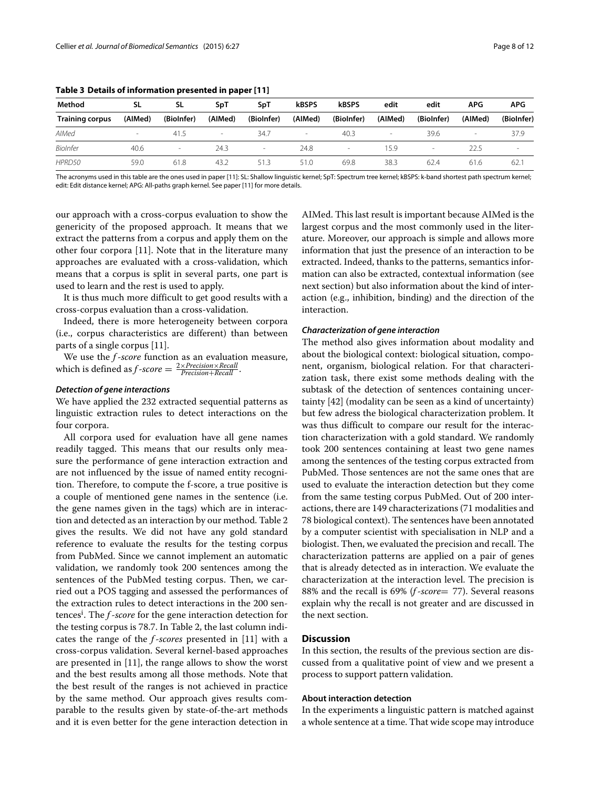| Method                 | SL      | SL         | SpT     | SpT                      | <b>kBSPS</b> | <b>kBSPS</b>             | edit    | edit       | APG                      | <b>APG</b> |
|------------------------|---------|------------|---------|--------------------------|--------------|--------------------------|---------|------------|--------------------------|------------|
| <b>Training corpus</b> | (AIMed) | (BioInfer) | (AIMed) | (BioInfer)               | (AIMed)      | (BioInfer)               | (AIMed) | (BioInfer) | (AIMed)                  | (BioInfer) |
| AIMed                  |         | 41.5       |         | 34.7                     |              | 40.3                     | $\,$    | 39.6       | $\overline{\phantom{a}}$ | 37.9       |
| <b>BioInfer</b>        | 40.6    | -          | 24.3    | $\overline{\phantom{a}}$ | 24.8         | $\overline{\phantom{a}}$ | 15.9    |            | 22.5                     | $\sim$     |
| HPRD50                 | 59.0    | 61.8       | 43.2    | 51.3                     | 51.0         | 69.8                     | 38.3    | 62.4       | 61.6                     | 62.7       |

<span id="page-7-0"></span>**Table 3 Details of information presented in paper [\[11\]](#page-10-9)**

The acronyms used in this table are the ones used in paper [\[11\]](#page-10-9): SL: Shallow linguistic kernel; SpT: Spectrum tree kernel; kBSPS: k-band shortest path spectrum kernel; edit: Edit distance kernel; APG: All-paths graph kernel. See paper [\[11\]](#page-10-9) for more details.

our approach with a cross-corpus evaluation to show the genericity of the proposed approach. It means that we extract the patterns from a corpus and apply them on the other four corpora [\[11\]](#page-10-9). Note that in the literature many approaches are evaluated with a cross-validation, which means that a corpus is split in several parts, one part is used to learn and the rest is used to apply.

It is thus much more difficult to get good results with a cross-corpus evaluation than a cross-validation.

Indeed, there is more heterogeneity between corpora (i.e., corpus characteristics are different) than between parts of a single corpus [\[11\]](#page-10-9).

We use the *f* -*score* function as an evaluation measure, which is defined as  $f$ -*score* =  $\frac{2 \times Precision \times Recall}{Precision + Recall}$ .

#### *Detection of gene interactions*

We have applied the 232 extracted sequential patterns as linguistic extraction rules to detect interactions on the four corpora.

All corpora used for evaluation have all gene names readily tagged. This means that our results only measure the performance of gene interaction extraction and are not influenced by the issue of named entity recognition. Therefore, to compute the f-score, a true positive is a couple of mentioned gene names in the sentence (i.e. the gene names given in the tags) which are in interaction and detected as an interaction by our method. Table [2](#page-6-0) gives the results. We did not have any gold standard reference to evaluate the results for the testing corpus from PubMed. Since we cannot implement an automatic validation, we randomly took 200 sentences among the sentences of the PubMed testing corpus. Then, we carried out a POS tagging and assessed the performances of the extraction rules to detect interactions in the 200 sentences<sup>i</sup> . The *f* -*score* for the gene interaction detection for the testing corpus is 78.7. In Table [2,](#page-6-0) the last column indicates the range of the *f* -*scores* presented in [\[11\]](#page-10-9) with a cross-corpus validation. Several kernel-based approaches are presented in [\[11\]](#page-10-9), the range allows to show the worst and the best results among all those methods. Note that the best result of the ranges is not achieved in practice by the same method. Our approach gives results comparable to the results given by state-of-the-art methods and it is even better for the gene interaction detection in AIMed. This last result is important because AIMed is the largest corpus and the most commonly used in the literature. Moreover, our approach is simple and allows more information that just the presence of an interaction to be extracted. Indeed, thanks to the patterns, semantics information can also be extracted, contextual information (see next section) but also information about the kind of interaction (e.g., inhibition, binding) and the direction of the interaction.

#### *Characterization of gene interaction*

The method also gives information about modality and about the biological context: biological situation, component, organism, biological relation. For that characterization task, there exist some methods dealing with the subtask of the detection of sentences containing uncertainty [\[42\]](#page-11-26) (modality can be seen as a kind of uncertainty) but few adress the biological characterization problem. It was thus difficult to compare our result for the interaction characterization with a gold standard. We randomly took 200 sentences containing at least two gene names among the sentences of the testing corpus extracted from PubMed. Those sentences are not the same ones that are used to evaluate the interaction detection but they come from the same testing corpus PubMed. Out of 200 interactions, there are 149 characterizations (71 modalities and 78 biological context). The sentences have been annotated by a computer scientist with specialisation in NLP and a biologist. Then, we evaluated the precision and recall. The characterization patterns are applied on a pair of genes that is already detected as in interaction. We evaluate the characterization at the interaction level. The precision is 88% and the recall is 69% (*f* -*score*= 77). Several reasons explain why the recall is not greater and are discussed in the next section.

# **Discussion**

In this section, the results of the previous section are discussed from a qualitative point of view and we present a process to support pattern validation.

# **About interaction detection**

In the experiments a linguistic pattern is matched against a whole sentence at a time. That wide scope may introduce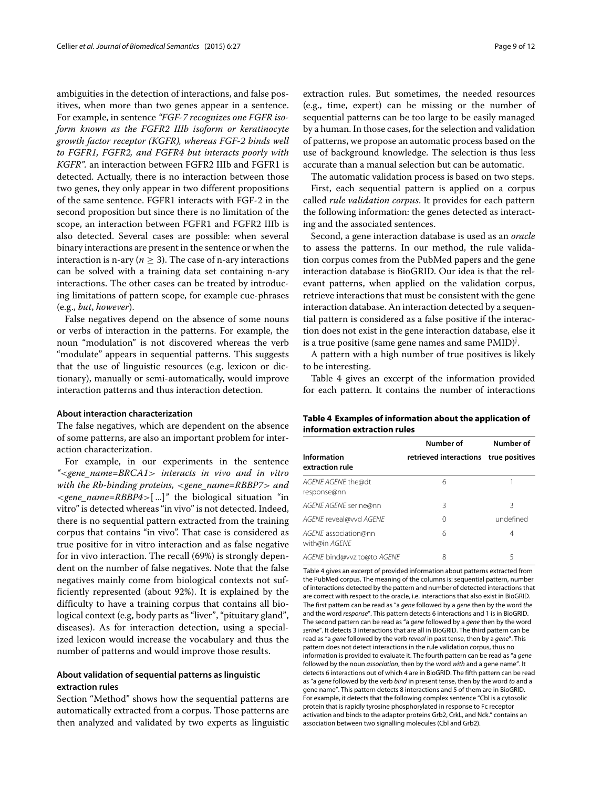ambiguities in the detection of interactions, and false positives, when more than two genes appear in a sentence. For example, in sentence *"FGF-7 recognizes one FGFR isoform known as the FGFR2 IIIb isoform or keratinocyte growth factor receptor (KGFR), whereas FGF-2 binds well to FGFR1, FGFR2, and FGFR4 but interacts poorly with KGFR".* an interaction between FGFR2 IIIb and FGFR1 is detected. Actually, there is no interaction between those two genes, they only appear in two different propositions of the same sentence. FGFR1 interacts with FGF-2 in the second proposition but since there is no limitation of the scope, an interaction between FGFR1 and FGFR2 IIIb is also detected. Several cases are possible: when several binary interactions are present in the sentence or when the interaction is n-ary ( $n \geq 3$ ). The case of n-ary interactions can be solved with a training data set containing n-ary interactions. The other cases can be treated by introducing limitations of pattern scope, for example cue-phrases (e.g., *but*, *however*).

False negatives depend on the absence of some nouns or verbs of interaction in the patterns. For example, the noun "modulation" is not discovered whereas the verb "modulate" appears in sequential patterns. This suggests that the use of linguistic resources (e.g. lexicon or dictionary), manually or semi-automatically, would improve interaction patterns and thus interaction detection.

#### **About interaction characterization**

The false negatives, which are dependent on the absence of some patterns, are also an important problem for interaction characterization.

For example, in our experiments in the sentence *"*<*gene\_name=BRCA1*> *interacts in vivo and in vitro with the Rb-binding proteins,* <*gene\_name=RBBP7*> *and* <*gene\_name=RBBP4*>[ ...]*"* the biological situation "in vitro" is detected whereas "in vivo" is not detected. Indeed, there is no sequential pattern extracted from the training corpus that contains "in vivo". That case is considered as true positive for in vitro interaction and as false negative for in vivo interaction. The recall (69%) is strongly dependent on the number of false negatives. Note that the false negatives mainly come from biological contexts not sufficiently represented (about 92%). It is explained by the difficulty to have a training corpus that contains all biological context (e.g, body parts as "liver", "pituitary gland", diseases). As for interaction detection, using a specialized lexicon would increase the vocabulary and thus the number of patterns and would improve those results.

# **About validation of sequential patterns as linguistic extraction rules**

Section ["Method"](#page-2-1) shows how the sequential patterns are automatically extracted from a corpus. Those patterns are then analyzed and validated by two experts as linguistic extraction rules. But sometimes, the needed resources (e.g., time, expert) can be missing or the number of sequential patterns can be too large to be easily managed by a human. In those cases, for the selection and validation of patterns, we propose an automatic process based on the use of background knowledge. The selection is thus less accurate than a manual selection but can be automatic.

The automatic validation process is based on two steps. First, each sequential pattern is applied on a corpus called *rule validation corpus*. It provides for each pattern the following information: the genes detected as interacting and the associated sentences.

Second, a gene interaction database is used as an *oracle* to assess the patterns. In our method, the rule validation corpus comes from the PubMed papers and the gene interaction database is BioGRID. Our idea is that the relevant patterns, when applied on the validation corpus, retrieve interactions that must be consistent with the gene interaction database. An interaction detected by a sequential pattern is considered as a false positive if the interaction does not exist in the gene interaction database, else it is a true positive (same gene names and same  $\mathrm{PMID})^{\mathrm{j}}.$ 

A pattern with a high number of true positives is likely to be interesting.

Table [4](#page-8-0) gives an excerpt of the information provided for each pattern. It contains the number of interactions

<span id="page-8-0"></span>

| Table 4 Examples of information about the application of |  |
|----------------------------------------------------------|--|
| information extraction rules                             |  |

|                                              | Number of                             | Number of |
|----------------------------------------------|---------------------------------------|-----------|
| Information<br>extraction rule               | retrieved interactions true positives |           |
| AGENE AGENE the@dt<br>response@nn            | 6                                     |           |
| AGENE AGENE serine@nn                        | 3                                     | 3         |
| AGENE reveal@vvd AGENE                       | 0                                     | undefined |
| AGENE association@nn<br>with@in <i>AGENE</i> | 6                                     | 4         |
| AGENE bind@vvz to@to AGENE                   | 8                                     | 5         |

Table [4](#page-8-0) gives an excerpt of provided information about patterns extracted from the PubMed corpus. The meaning of the columns is: sequential pattern, number of interactions detected by the pattern and number of detected interactions that are correct with respect to the oracle, i.e. interactions that also exist in BioGRID. The first pattern can be read as "a *gene* followed by a *gene* then by the word *the* and the word *response*". This pattern detects 6 interactions and 1 is in BioGRID. The second pattern can be read as "a *gene* followed by a *gene* then by the word *serine*". It detects 3 interactions that are all in BioGRID. The third pattern can be read as "a *gene* followed by the verb *reveal* in past tense, then by a *gene*". This pattern does not detect interactions in the rule validation corpus, thus no information is provided to evaluate it. The fourth pattern can be read as "a *gene* followed by the noun *association*, then by the word *with* and a gene name". It detects 6 interactions out of which 4 are in BioGRID. The fifth pattern can be read as "a *gene* followed by the verb *bind* in present tense, then by the word *to* and a gene name". This pattern detects 8 interactions and 5 of them are in BioGRID. For example, it detects that the following complex sentence "Cbl is a cytosolic protein that is rapidly tyrosine phosphorylated in response to Fc receptor activation and binds to the adaptor proteins Grb2, CrkL, and Nck." contains an association between two signalling molecules (Cbl and Grb2).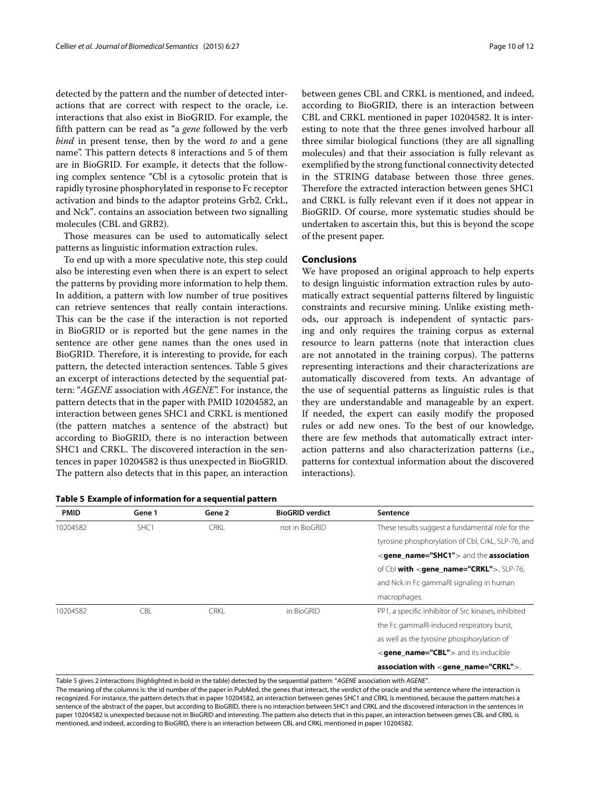detected by the pattern and the number of detected interactions that are correct with respect to the oracle, i.e. interactions that also exist in BioGRID. For example, the fifth pattern can be read as "a *gene* followed by the verb *bind* in present tense, then by the word *to* and a gene name". This pattern detects 8 interactions and 5 of them are in BioGRID. For example, it detects that the following complex sentence "Cbl is a cytosolic protein that is rapidly tyrosine phosphorylated in response to Fc receptor activation and binds to the adaptor proteins Grb2, CrkL, and Nck". contains an association between two signalling molecules (CBL and GRB2).

Those measures can be used to automatically select patterns as linguistic information extraction rules.

To end up with a more speculative note, this step could also be interesting even when there is an expert to select the patterns by providing more information to help them. In addition, a pattern with low number of true positives can retrieve sentences that really contain interactions. This can be the case if the interaction is not reported in BioGRID or is reported but the gene names in the sentence are other gene names than the ones used in BioGRID. Therefore, it is interesting to provide, for each pattern, the detected interaction sentences. Table [5](#page-9-0) gives an excerpt of interactions detected by the sequential pattern: "*AGENE* association with *AGENE*". For instance, the pattern detects that in the paper with PMID 10204582, an interaction between genes SHC1 and CRKL is mentioned (the pattern matches a sentence of the abstract) but according to BioGRID, there is no interaction between SHC1 and CRKL. The discovered interaction in the sentences in paper 10204582 is thus unexpected in BioGRID. The pattern also detects that in this paper, an interaction

<span id="page-9-0"></span>

|  |  | Table 5 Example of information for a sequential pattern |  |  |  |
|--|--|---------------------------------------------------------|--|--|--|
|--|--|---------------------------------------------------------|--|--|--|

between genes CBL and CRKL is mentioned, and indeed, according to BioGRID, there is an interaction between CBL and CRKL mentioned in paper 10204582. It is interesting to note that the three genes involved harbour all three similar biological functions (they are all signalling molecules) and that their association is fully relevant as exemplified by the strong functional connectivity detected in the STRING database between those three genes. Therefore the extracted interaction between genes SHC1 and CRKL is fully relevant even if it does not appear in BioGRID. Of course, more systematic studies should be undertaken to ascertain this, but this is beyond the scope of the present paper.

## **Conclusions**

We have proposed an original approach to help experts to design linguistic information extraction rules by automatically extract sequential patterns filtered by linguistic constraints and recursive mining. Unlike existing methods, our approach is independent of syntactic parsing and only requires the training corpus as external resource to learn patterns (note that interaction clues are not annotated in the training corpus). The patterns representing interactions and their characterizations are automatically discovered from texts. An advantage of the use of sequential patterns as linguistic rules is that they are understandable and manageable by an expert. If needed, the expert can easily modify the proposed rules or add new ones. To the best of our knowledge, there are few methods that automatically extract interaction patterns and also characterization patterns (i.e., patterns for contextual information about the discovered interactions).

| <b>PMID</b> | Gene 1           | Gene 2      | <b>BioGRID verdict</b> | Sentence                                                   |
|-------------|------------------|-------------|------------------------|------------------------------------------------------------|
| 10204582    | SHC <sub>1</sub> | <b>CRKL</b> | not in BioGRID         | These results suggest a fundamental role for the           |
|             |                  |             |                        | tyrosine phosphorylation of CbI, CrkL, SLP-76, and         |
|             |                  |             |                        | <gene name="SHC1"> and the association</gene>              |
|             |                  |             |                        | of Cbl with <gene_name="crkl">, SLP-76,</gene_name="crkl"> |
|             |                  |             |                        | and Nck in Fc gammaRI signaling in human                   |
|             |                  |             |                        | macrophages.                                               |
| 10204582    | CBL              | <b>CRKI</b> | in BioGRID             | PP1, a specific inhibitor of Src kinases, inhibited        |
|             |                  |             |                        | the Fc gammaRI-induced respiratory burst,                  |
|             |                  |             |                        | as well as the tyrosine phosphorylation of                 |
|             |                  |             |                        | $\leq$ <b>gene name="CBL"</b> > and its inducible          |
|             |                  |             |                        | association with <gene_name="crkl">.</gene_name="crkl">    |

Table [5](#page-9-0) gives 2 interactions (highlighted in bold in the table) detected by the sequential pattern: "*AGENE* association with *AGENE*".

The meaning of the columns is: the id number of the paper in PubMed, the genes that interact, the verdict of the oracle and the sentence where the interaction is recognized. For instance, the pattern detects that in paper 10204582, an interaction between genes SHC1 and CRKL is mentioned, because the pattern matches a sentence of the abstract of the paper, but according to BioGRID, there is no interaction between SHC1 and CRKL and the discovered interaction in the sentences in paper 10204582 is unexpected because not in BioGRID and interesting. The pattern also detects that in this paper, an interaction between genes CBL and CRKL is mentioned, and indeed, according to BioGRID, there is an interaction between CBL and CRKL mentioned in paper 10204582.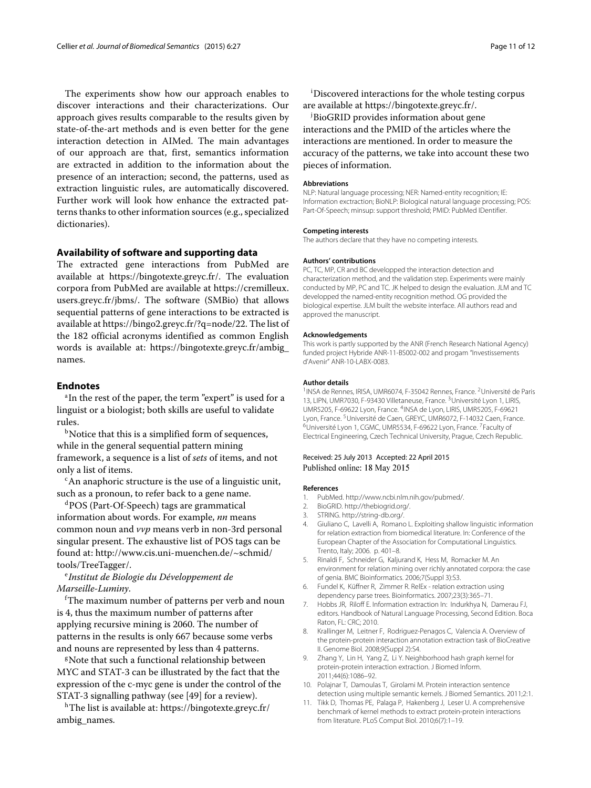The experiments show how our approach enables to discover interactions and their characterizations. Our approach gives results comparable to the results given by state-of-the-art methods and is even better for the gene interaction detection in AIMed. The main advantages of our approach are that, first, semantics information are extracted in addition to the information about the presence of an interaction; second, the patterns, used as extraction linguistic rules, are automatically discovered. Further work will look how enhance the extracted patterns thanks to other information sources (e.g., specialized dictionaries).

# **Availability of software and supporting data**

The extracted gene interactions from PubMed are available at [https://bingotexte.greyc.fr/.](https://bingotexte.greyc.fr/) The evaluation corpora from PubMed are available at [https://cremilleux.](https://cremilleux.users.greyc.fr/jbms/) [users.greyc.fr/jbms/.](https://cremilleux.users.greyc.fr/jbms/) The software (SMBio) that allows sequential patterns of gene interactions to be extracted is available at [https://bingo2.greyc.fr/?q=node/22.](https://bingo2.greyc.fr/?q=node/22) The list of the 182 official acronyms identified as common English words is available at: [https://bingotexte.greyc.fr/ambig\\_](https://bingotexte.greyc.fr/ambig_names) [names.](https://bingotexte.greyc.fr/ambig_names)

# **Endnotes**

<sup>a</sup>In the rest of the paper, the term "expert" is used for a linguist or a biologist; both skills are useful to validate rules.

 $b$ Notice that this is a simplified form of sequences, while in the general sequential pattern mining framework, a sequence is a list of *sets* of items, and not only a list of items.

 $c<sub>c</sub>$ An anaphoric structure is the use of a linguistic unit, such as a pronoun, to refer back to a gene name.

dPOS (Part-Of-Speech) tags are grammatical information about words. For example, *nn* means common noun and *vvp* means verb in non-3rd personal singular present. The exhaustive list of POS tags can be found at: [http://www.cis.uni-muenchen.de/~schmid/](http://www.cis.uni-muenchen.de/~schmid/tools/TreeTagger/) [tools/TreeTagger/.](http://www.cis.uni-muenchen.de/~schmid/tools/TreeTagger/)

# <sup>e</sup> *Institut de Biologie du Développement de Marseille-Luminy*.

f The maximum number of patterns per verb and noun is 4, thus the maximum number of patterns after applying recursive mining is 2060. The number of patterns in the results is only 667 because some verbs and nouns are represented by less than 4 patterns.

<sup>g</sup>Note that such a functional relationship between MYC and STAT-3 can be illustrated by the fact that the expression of the c-myc gene is under the control of the STAT-3 signalling pathway (see [\[49\]](#page-11-33) for a review).

hThe list is available at: [https://bingotexte.greyc.fr/](https://bingotexte.greyc.fr/ambig_names) [ambig\\_names.](https://bingotexte.greyc.fr/ambig_names)

i Discovered interactions for the whole testing corpus are available at https://bingotexte.greyc.fr/.

j BioGRID provides information about gene interactions and the PMID of the articles where the interactions are mentioned. In order to measure the accuracy of the patterns, we take into account these two pieces of information.

#### **Abbreviations**

NLP: Natural language processing; NER: Named-entity recognition; IE: Information exctraction; BioNLP: Biological natural language processing; POS: Part-Of-Speech; minsup: support threshold; PMID: PubMed IDentifier.

#### **Competing interests**

The authors declare that they have no competing interests.

#### **Authors' contributions**

PC, TC, MP, CR and BC developped the interaction detection and characterization method, and the validation step. Experiments were mainly conducted by MP, PC and TC. JK helped to design the evaluation. JLM and TC developped the named-entity recognition method. OG provided the biological expertise. JLM built the website interface. All authors read and approved the manuscript.

#### **Acknowledgements**

This work is partly supported by the ANR (French Research National Agency) funded project Hybride ANR-11-BS002-002 and progam "Investissements d'Avenir" ANR-10-LABX-0083.

#### **Author details**

<sup>1</sup>INSA de Rennes, IRISA, UMR6074, F-35042 Rennes, France. <sup>2</sup>Université de Paris 13, LIPN, UMR7030, F-93430 Villetaneuse, France. <sup>3</sup>Université Lyon 1, LIRIS, UMR5205, F-69622 Lyon, France. 4INSA de Lyon, LIRIS, UMR5205, F-69621 Lyon, France. <sup>5</sup>Université de Caen, GREYC, UMR6072, F-14032 Caen, France. <sup>6</sup>Université Lyon 1, CGMC, UMR5534, F-69622 Lyon, France. <sup>7</sup>Faculty of Electrical Engineering, Czech Technical University, Prague, Czech Republic.

## Received: 25 July 2013 Accepted: 22 April 2015 Published online: 18 May 2015

#### **References**

- <span id="page-10-0"></span>1. PubMed. [http://www.ncbi.nlm.nih.gov/pubmed/.](http://www.ncbi.nlm.nih.gov/pubmed/)
- <span id="page-10-1"></span>2. BioGRID. [http://thebiogrid.org/.](http://thebiogrid.org/)
- <span id="page-10-2"></span>3. STRING. [http://string-db.org/.](http://string-db.org/)
- <span id="page-10-3"></span>4. Giuliano C, Lavelli A, Romano L. Exploiting shallow linguistic information for relation extraction from biomedical literature. In: Conference of the European Chapter of the Association for Computational Linguistics. Trento, Italy; 2006. p. 401–8.
- <span id="page-10-4"></span>5. Rinaldi F, Schneider G, Kaljurand K, Hess M, Romacker M. An environment for relation mining over richly annotated corpora: the case of genia. BMC Bioinformatics. 2006;7(Suppl 3):S3.
- <span id="page-10-5"></span>6. Fundel K, Küffner R, Zimmer R. RelEx - relation extraction using dependency parse trees. Bioinformatics. 2007;23(3):365–71.
- <span id="page-10-6"></span>7. Hobbs JR, Riloff E. Information extraction In: Indurkhya N, Damerau FJ, editors. Handbook of Natural Language Processing, Second Edition. Boca Raton, FL: CRC; 2010.
- <span id="page-10-7"></span>8. Krallinger M, Leitner F, Rodriguez-Penagos C, Valencia A. Overview of the protein-protein interaction annotation extraction task of BioCreative II. Genome Biol. 2008;9(Suppl 2):S4.
- <span id="page-10-8"></span>9. Zhang Y, Lin H, Yang Z, Li Y. Neighborhood hash graph kernel for protein-protein interaction extraction. J Biomed Inform. 2011;44(6):1086–92.
- 10. Polajnar T, Damoulas T, Girolami M. Protein interaction sentence detection using multiple semantic kernels. J Biomed Semantics. 2011;2:1.
- <span id="page-10-9"></span>11. Tikk D, Thomas PE, Palaga P, Hakenberg J, Leser U. A comprehensive benchmark of kernel methods to extract protein-protein interactions from literature. PLoS Comput Biol. 2010;6(7):1–19.